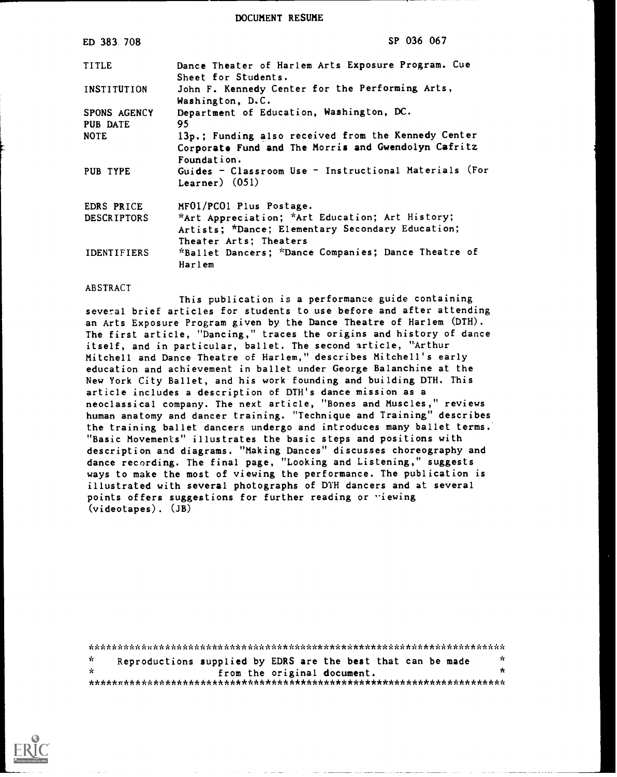DOCUMENT RESUME

| ED 383 708                      | SP 036 067                                                                                                                    |
|---------------------------------|-------------------------------------------------------------------------------------------------------------------------------|
| <b>TITLE</b>                    | Dance Theater of Harlem Arts Exposure Program. Cue<br>Sheet for Students.                                                     |
| INSTITUTION                     | John F. Kennedy Center for the Performing Arts,<br>Washington, D.C.                                                           |
| <b>SPONS AGENCY</b><br>PUB DATE | Department of Education, Washington, DC.<br>95                                                                                |
| <b>NOTE</b>                     | 13p.; Funding also received from the Kennedy Center<br>Corporate Fund and The Morris and Gwendolyn Cafritz<br>Foundation.     |
| PUB TYPE                        | Guides - Classroom Use - Instructional Materials (For<br>Learner) $(051)$                                                     |
| EDRS PRICE                      | MF01/PC01 Plus Postage.                                                                                                       |
| <b>DESCRIPTORS</b>              | *Art Appreciation; *Art Education; Art History;<br>Artists; *Dance; Elementary Secondary Education;<br>Theater Arts: Theaters |
| <b>IDENTIFIERS</b>              | *Ballet Dancers; *Dance Companies; Dance Theatre of<br>Harlem                                                                 |

### ABSTRACT

This publication is a performance guide containing several brief articles for students to use before and after attending an Arts Exposure Program given by the Dance Theatre of Harlem (DTH). The first article, "Dancing," traces the origins and history of dance itself, and in particular, ballet. The second article, "Arthur Mitchell and Dance Theatre of Harlem," describes Mitchell's early education and achievement in ballet under George Balanchine at the New York City Ballet, and his work founding and building DTH. This article includes a description of DTH's dance mission as a neoclassical company. The next article, "Bones and Muscles," reviews human anatomy and dancer training. "Technique and Training" describes the training ballet dancers undergo and introduces many ballet terms. "Basic Movements" illustrates the basic steps and positions with description and diagrams. "Making Dances" discusses choreography and dance recording. The final page, "Looking and Listening," suggests ways to make the most of viewing the performance. The publication is illustrated with several photographs of DTH dancers and at several points offers suggestions for further reading or "iewing (videotapes). (JB)

| $\mathcal{R}$ | Reproductions supplied by EDRS are the best that can be made |  |  |                             |  | - YC |  |  |
|---------------|--------------------------------------------------------------|--|--|-----------------------------|--|------|--|--|
| - ár          |                                                              |  |  | from the original document. |  | *    |  |  |
|               |                                                              |  |  |                             |  |      |  |  |

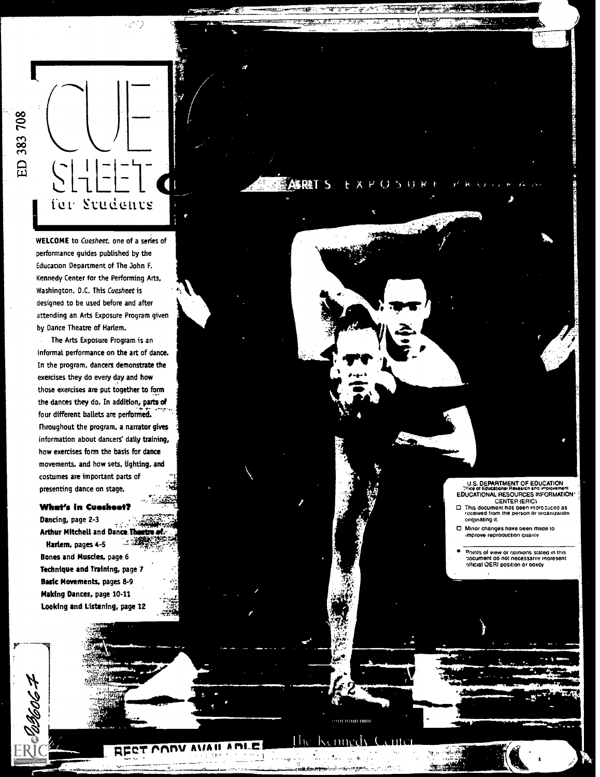

WELCOME to Cuesheet, one of a senes of performance guides published by the Education Department of The John F. Kennedy Center for the Performing Arts. Washington, D.C. This Cuesheet is designed to be used before and after attending an Arts Exposure Program given by Dance Theatre of Harlem.

r an Aon

**ARRET S** 

at

The Arts Exposure Program is an informal performance on the art of dance. In the program, dancers demonstrate the exercises they do every day and how those exercises are put together to form the dances they do. In addition, parts of four different ballets are performed. throughout the program, a narrator gives information about dancers' daily training, how exercises form the basis for dance movements, and how sets, lighting, and costumes are important parts of presenting dance on stage.

### What's In Cuoshoot?

Dancing, page 2-3 Arthur Mitchell and Dance Theatre of Harlem, pages 4-5 Bones and Muscles, page 6 Technique and Training, page 7 Basic Movements, pages 8-9 Making Dances, page 10-11 Looking and Listening, page 12

E 2005 P

RT CODY AVAILA DLE

iii 1111111 111111

U.S. DEPARTMENT OF EDUCATION [15] EDUCATIONAL RESOURCES INFORMATION <sup>2</sup><br>CENTER (ERIC)

- This document has been reproduced as<br>received from the person or organization originating it
- Minor changes have oeen mace to .mprove reproduction quality

**Florida Andrew Street, The Telecometry** 

'Yin 4,71.

points of view or opinions slated in this 4ocument do not necessarily reoresent official OERI position or policy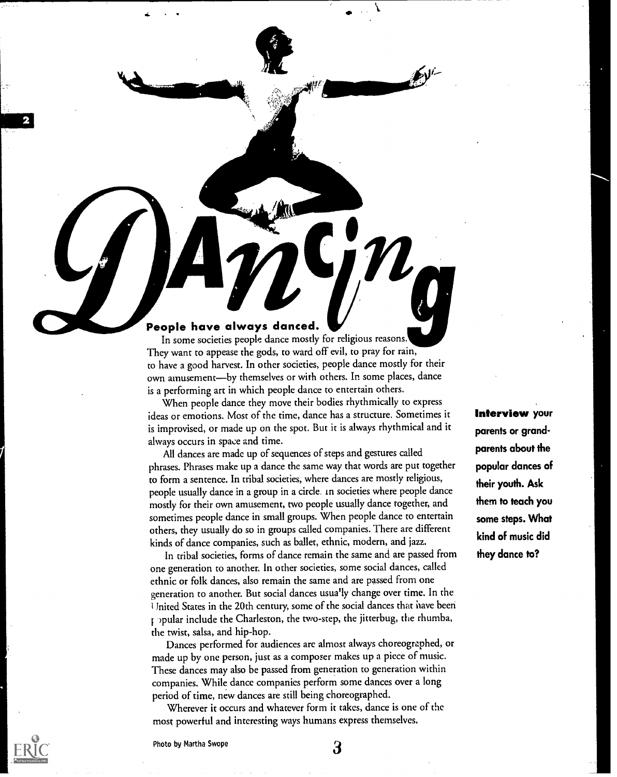### People have always danced.

In some societies people dance mostly for religious reasons. They want to appease the gods, to ward off evil, to pray for rain, to have a good harvest. In other societies, people dance mostly for their own amusement-by themselves or with others. In some places, dance is a performing art in which people dance to entertain others.

 $\blacksquare$ 

When people dance they move their bodies rhythmically to express ideas or emotions. Most of the time, dance has a structure. Sometimes it is improvised, or made up on the spot. But it is always rhythmical and it always occurs in space and time.

All dances are made up of sequences of steps and gestures called phrases. Phrases make up a dance the same way that words are put together to form a sentence. In tribal societies, where dances are mostly religious, people usually dance in a group in a circle in societies where people dance mostly for their own amusement, two people usually dance together, and sometimes people dance in small groups. When people dance to entertain others, they usually do so in groups called companies. There are different kinds of dance companies, such as ballet, ethnic, modern, and jazz.

In tribal societies, forms of dance remain the same and are passed from one generation to another. In other societies, some social dances, called ethnic or folk dances, also remain the same and are passed from one generation to another. But social dances usually change over time. In the United States in the 20th century, some of the social dances that have been popular include the Charleston, the two-step, the jitterbug, the rhumba, the twist, salsa, and hip-hop.

Dances performed for audiences are almost always choreographed, or made up by one person, just as a composer makes up a piece of music. These dances may also be passed from generation to generation within companies. While dance companies perform some dances over a long period of time, new dances are still being choreographed.

Wherever it occurs and whatever form it takes, dance is one of the most powerful and interesting ways humans express themselves.

Interview your parents or grandparents about the popular dances of their youth. Ask them to teach you some steps. What kind of music did they dance to?

411111111M



Photo by Martha Swope 3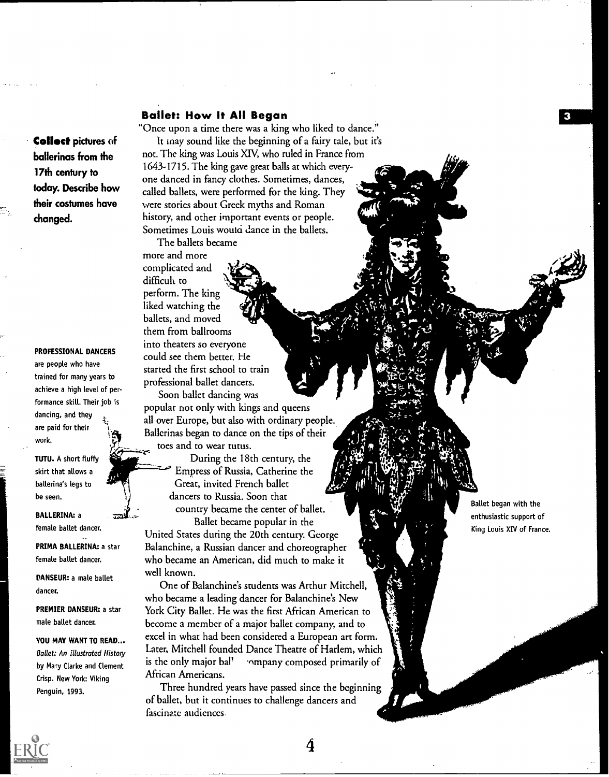### Ballet: How It All Began

Collect pictures of ballerinas from the 17th century to today. Describe how their costumes have changed.

### PROFESSIONAL DANCERS

are people who have trained for many years to achieve a high level of performance skill. Their job is dancing, and they are paid for their work.

TUTU. A short fluffy skirt that allows a ballerina's legs to be seen.

BALLERINA: a female ballet dancer.

PRIMA BALLERINA: a star female ballet dancer.

DANSEUR: a male ballet dancer.

PREMIER DANSEUR: a star male ballet dancer.

YOU MAY WANT TO READ... Ballet: An Illustrated History<br>by Mapy Clarke and Clement is the only major bal! by Mary Clarke and Clement Crisp. New York: Viking Penguin, 1993.

"Once upon a time there was a king who liked to dance." It may sound like the beginning of a fairy tale, but it's not. The king was Louis XIV, who ruled in France from 1643-1715. The king gave great balls at which everyone danced in fancy clothes. Sometimes, dances, called ballets, were performed for the king. They were stories about Greek myths and Roman history, and other important events or people. Sometimes Louis would dance in the ballets.

The ballets became more and more complicated and difficult to perform. The king liked watching the ballets, and moved them from ballrooms into theaters so everyone could see them better. He started the first school to train professional ballet dancers.

Soon ballet dancing was popular not only with kings and queens all over Europe, but also with ordinary people. Ballerinas began to dance on the tips of their toes and to wear tutus.

> During the 18th century, the Empress of Russia, Catherine the Great, invited French ballet dancers to Russia. Soon that country became the center of ballet.

Ballet became popular in the United States during the 20th century. George Balanchine, a Russian dancer and choreographer who became an American, did much to make it well known.

One of Balanchine's students was Arthur Mitchell, who became a leading dancer for Balanchine's New York City Ballet. He was the first African American to become a member of a major ballet company, and to excel in what had been considered a European art form. Later, Mitchell founded Dance Theatre of Harlem, which iompany composed primarily of African Americans.

Three hundred years have passed since the beginning of ballet, but it continues to challenge dancers and fascinate audiences.

Ballet began with the enthusiastic support of King Louis XIV of France.

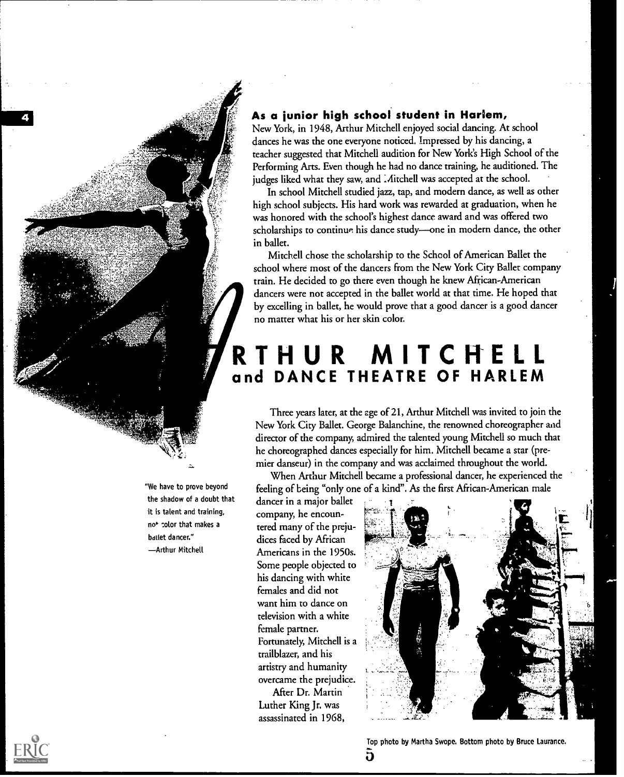### As a junior high school student in Harlem,

New York, in 1948, Arthur Mitchell enjoyed social dancing. At school dances he was the one everyone noticed. Impressed by his dancing, a teacher suggested that Mitchell audition for New York's High School of the Performing Arts. Even though he had no dance training, he auditioned. The judges liked what they saw, and Mitchell was accepted at the school.

In school Mitchell studied jazz, tap, and modern dance, as well as other high school subjects. His hard work was rewarded at graduation, when he was honored with the school's highest dance award and was offered two scholarships to continue his dance study-one in modern dance, the other in ballet.

Mitchell chose the scholarship to the School of American Ballet the school where most of the dancers from the New York City Ballet company train. He decided to go there even though he knew African-American dancers were not accepted in the ballet world at that time. He hoped that by excelling in ballet, he would prove that a good dancer is a good dancer no matter what his or her skin color.

## RTHUR MITCHELL and DANCE THEATRE OF HARLEM

Three years later, at the age of 21, Arthur Mitchell was invited to join the New York City Ballet. George Balanchine, the renowned choreographer and director of the company, admired the talented young Mitchell so much that he choreographed dances especially for him. Mitchell became a star (premier danseur) in the company and was acclaimed throughout the world.

When Arthur Mitchell became a professional dancer, he experienced the feeling of being "only one of a kind". As the first African-American male

dancer in a major ballet company, he encountered many of the prejudices faced by African Americans in the 1950s. Some people objected to his dancing with white females and did not want him to dance on television with a white female partner. Fortunately, Mitchell is a trailblazer, and his artistry and humanity overcame the prejudice. After Dr. Martin

Luther King Jr. was assassinated in 1968,





"We have to prove beyond the shadow of a doubt that it is talent and training, no<sup>+</sup> color that makes a ballet dancer." Arthur Mitchell

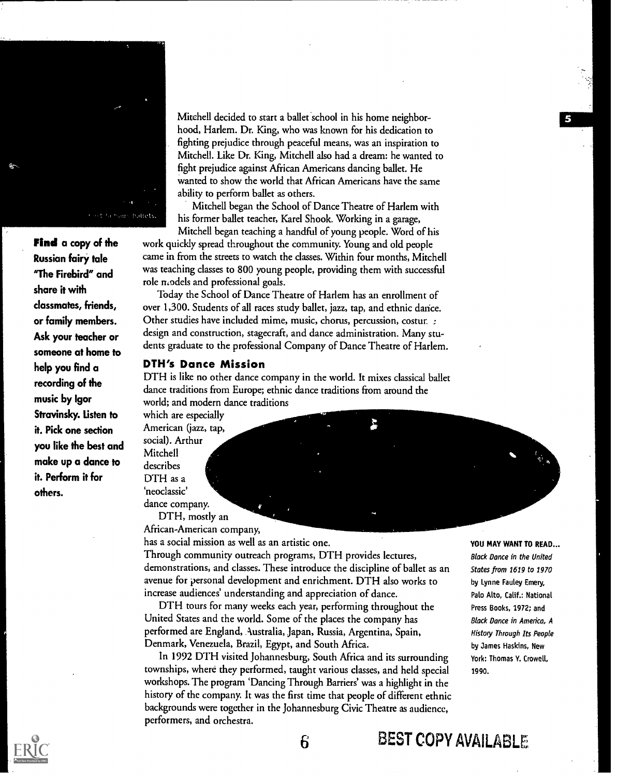

Find a copy of the Russian fairy tale "The Firebird" and share it with classmates, friends, or family members. Ask your teacher or someone at home to help you find a recording of the music by Igor Stravinsky. Listen to it. Pick one section you like the best and make up a dance to it. Perform it for others.

Mitchell decided to start a ballet school in his home neighborhood, Harlem. Dr. King, who was known for his dedication to fighting prejudice through peaceful means, was an inspiration to Mitchell. Like Dr. King, Mitchell also had a dream: he wanted to fight prejudice against African Americans dancing ballet. He wanted to show the world that African Americans have the same ability to perform ballet as others.

Mitchell began the School of Dance Theatre of Harlem with his former ballet teacher, Karel Shook. Working in a garage,

Mitchell began teaching a handful of young people. Word of his work quickly spread throughout the community. Young and old people came in from the streets to watch the classes. Within four months, Mitchell was teaching classes to 800 young people, providing them with successful role models and professional goals.

Today the School of Dance Theatre of Harlem has an enrollment of over 1,300. Students of all races study ballet, jazz, tap, and ethnic dance. Other studies have included mime, music, chorus, percussion, costur. : design and construction, stagecraft, and dance administration. Many students graduate to the professional Company of Dance Theatre of Harlem.

### DTH's Dance Mission

DTH is like no other dance company in the world. It mixes classical ballet dance traditions from Europe; ethnic dance traditions from around the world; and modern dance traditions

which are especially American (jazz, tap, social). Arthur Mitchell describes DTH as a `neoclassic' dance company.

Z DTH, mostly an

African-American company, has a social mission as well as an artistic one.

Through community outreach programs, DTH provides lectures, demonstrations, and classes. These introduce the discipline of ballet as an avenue for personal development and enrichment. DTH also works to increase audiences' understanding and appreciation of dance.

DTH tours for many weeks each year, performing throughout the United States and the world. Some of the places the company has performed are England, Australia, Japan, Russia, Argentina, Spain, Denmark, Venezuela, Brazil, Egypt, and South Africa.

In 1992 DTH visited Johannesburg, South Africa and its surrounding townships, where they performed, taught various classes, and held special workshops. The program 'Dancing Through Barriers' was a highlight in the history of the company. It was the first time that people of different ethnic backgrounds were together in the Johannesburg Civic Theatre as audience, performers, and orchestra.

6

YOU MAY WANT TO READ... Black Dance in the United States from 1619 to 1970 by Lynne Fauley Emery, Palo Alto, Calif.: National Press Books, 1972; and Block Dance in Americo, A History Through Its People by James Haskins, New York: Thomas Y. Crowell, 1990.

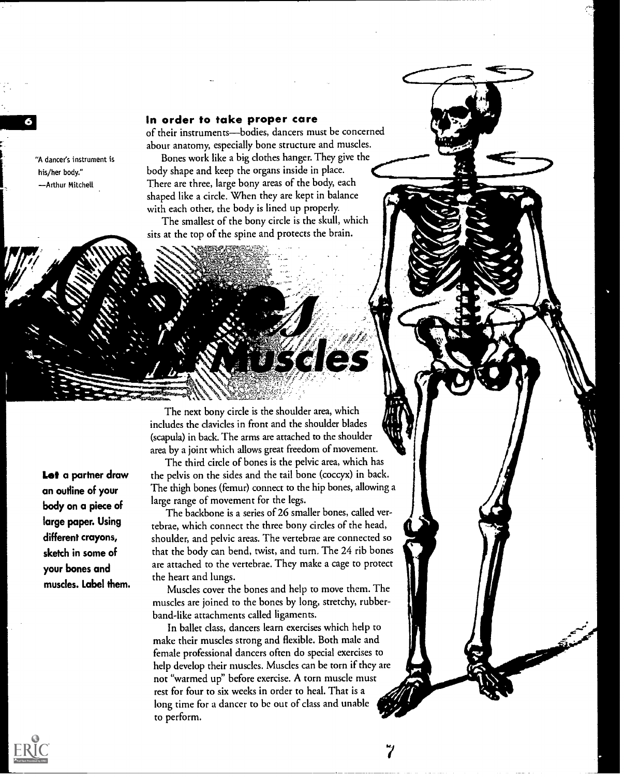### In order to take proper care

of their instruments-bodies, dancers must be concerned about anatomy, especially bone structure and muscles.

Bones work like a big clothes hanger. They give the body shape and keep the organs inside in place. There are three, large bony areas of the body, each shaped like a circle. When they are kept in balance with each other, the body is lined up properly.

The smallest of the bony circle is the skull, which sits at the top of the spine and protects the brain.

arvan k

includes the clavicles in front and the shoulder blades (scapula) in back The arms are attached to the shoulder area by a joint which allows great freedom of movement. The third circle of bones is the pelvic area, which has

The next bony circle is the shoulder area, which

the pelvis on the sides and the tail bone (coccyx) in back. The thigh bones (femur) connect to the hip bones, allowing a large range of movement for the legs.

**d** 

R,

The backbone is a series of 26 smaller bones, called vertebrae, which connect the three bony circles of the head, shoulder, and pelvic areas. The vertebrae are connected so that the body can bend, twist, and turn. The 24 rib bones are attached to the vertebrae. They make a cage to protect the heart and lungs.

Muscles cover the bones and help to move them. The muscles are joined to the bones by long, stretchy, rubberband-like attachments called ligaments.

In ballet class, dancers learn exercises which help to make their muscles strong and flexible. Both male and female professional dancers often do special exercises to help develop their muscles. Muscles can be torn if they are not "warmed up" before exercise. A torn muscle must rest for four to six weeks in order to heal. That is a long time for a dancer to be out of class and unable to perform.

Let a partner draw an outline of your body on a piece of large paper. Using different crayons, sketch in some of your bones and muscles. Label them.

"A dancer's instrument is his/her body." Arthur Mitchell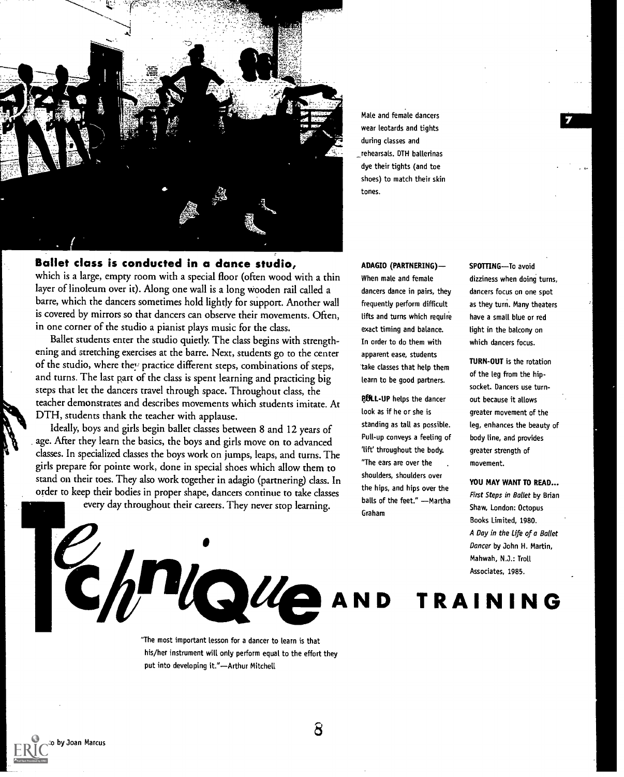

Male and female dancers wear leotards and tights during classes and rehearsals. DTH ballerinas dye their tights (and toe shoes) to match their skin tones.

### Ballet class is conducted in a dance studio,

which is a large, empty room with a special floor (often wood with a thin layer of linoleum over it). Along one wall is a long wooden rail called a barre, which the dancers sometimes hold lightly for support. Another wall is covered by mirrors so that dancers can observe their movements. Often, in one corner of the studio a pianist plays music for the class.

Ballet students enter the studio quietly. The class begins with strengthening and stretching exercises at the barre. Next, students go to the center of the studio, where they practice different steps, combinations of steps, and turns. The last part of the class is spent learning and practicing big steps that let the dancers travel through space. Throughout class, the teacher demonstrates and describes movements which students imitate. At DTH, students thank the teacher with applause.

Ideally, boys and girls begin ballet classes between 8 and 12 years of age. After they learn the basics, the boys and girls move on to advanced classes. In specialized classes the boys work on jumps, leaps, and turns. The girls prepare for pointe work, done in special shoes which allow them to stand on their toes. They also work together in adagio (partnering) class. In order to keep their bodies in proper shape, dancers continue to take classes

mstAINII

every day throughout their careers. They never stop learning.

ADAGIO (PARTNERING)

When male and female dancers dance in pairs, they frequently perform difficult lifts and turns which require exact timing and balance. In order to do them with apparent ease, students take classes that help them learn to be good partners.

POLL-UP helps the dancer look as if he or she is standing as tall as possible. Pull-up conveys a feeling of 'lift' throughout the body. "The ears are over the shoulders, shoulders over the hips, and hips over the balls of the feet." - Martha Graham

SPOTTING-To avoid dizziness when doing turns, dancers focus on one spot as they turn. Many theaters have a small blue or red tight in the balcony on which dancers focus.

TURN-OUT is the rotation of the leg from the hipsocket. Dancers use turnout because it allows greater movement of the leg, enhances the beauty of body line, and provides greater strength of movement.

Mahwah, N.J.: Troll<br>Associates, 1985. YOU MAY WANT TO READ... First Steps in Ballet by Brian Shaw, London: Octopus Books Limited, 1980. A Day in the Life of a Ballet Dancer by John H. Martin, Mahwah, N.J.: Troll Associates, 1985.

TRAINING

"The most important lesson for a dancer to learn is that his/her instrument will only perform equal to the effort they put into developing it."-Arthur Mitchell

 $\bullet$  and  $\bullet$ 

8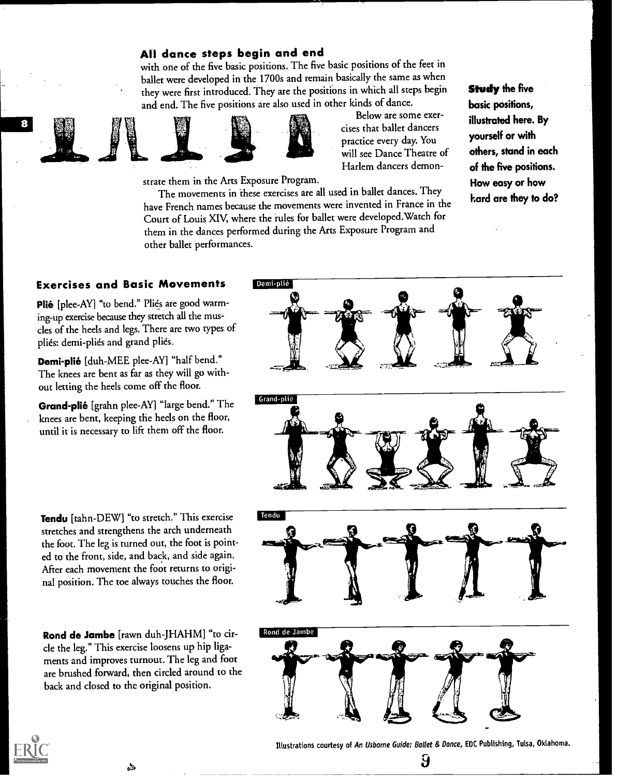### All dance steps begin and end

with one of the five basic positions. The five basic positions of the feet in ballet were developed in the 1700s and remain basically the same as when they were first introduced. They are the positions in which all steps begin and end. The five positions are also used in other kinds of dance.







Below are some exercises that ballet dancers practice every day. You will see Dance Theatre of Harlem dancers demon-

strate them in the Arts Exposure Program.

The movements in these exercises are all used in ballet dances. They have French names because the movements were invented in France in the Court of Louis XIV, where the rules for ballet were developed.Watch for them in the dances performed during the Arts Exposure Program and other ballet performances.

Study the five basic posifions, illustrated here. By yourself or with others, stand in each of the five positions. How easy or how hard are they to do?

### Exercises and Basic Movements

Plié [plee-AY] "to bend." Pliés are good warming-up exercise because they stretch all the muscles of the heels and legs. There are two types of pliés: demi-pliés and grand pliés.

Demi-plié [duh-MEE plee-AY] "half bend." The knees are bent as far as they will go without letting the heels come off the floor.

Grand-plié [grahn plee-AY] "large bend." The knees are bent, keeping the heels on the floor, until it is necessary to lift them off the floor.

Tendu [tahn-DEW] "to stretch." This exercise stretches and strengthens the arch underneath the foot. The leg is turned out, the foot is pointed to the front, side, and back, and side again. After each movement the foot returns to original position. The toe always touches the floor.

Rond de Jambe [rawn duh-JHAHM] "to circle the leg." This exercise loosens up hip ligaments and improves turnout. The leg and foot are brushed forward, then circled around to the back and closed to the original position.

ها



Illustrations courtesy of An Usborne Guide: Ballet & Dance, EDC Publishing, Tulsa, Oklahoma.  $\bf{9}$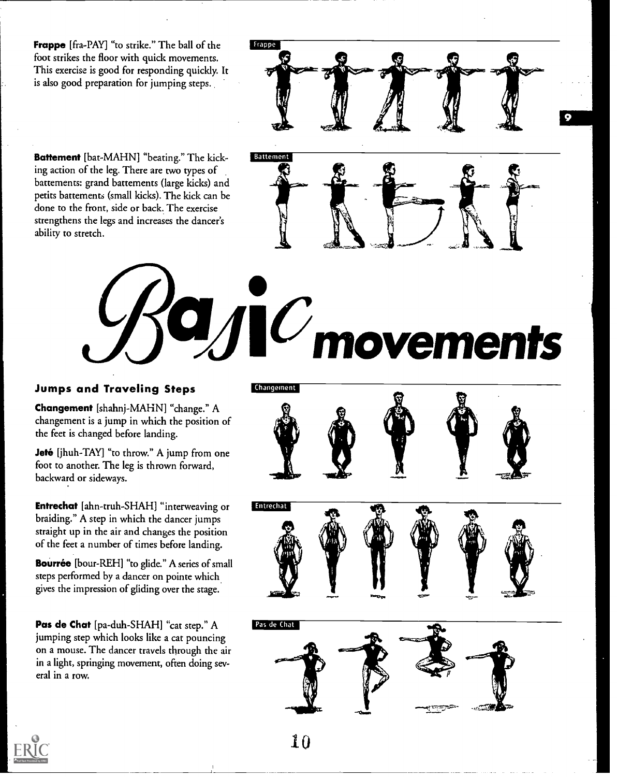Frappe [fra-PAY] "to strike." The ball of the foot strikes the floor with quick movements. This exercise is good for responding quickly. It is also good preparation for jumping steps.

frappe

Battement [bat-MAHN] "beating." The kicking action of the leg. There are two types of battements: grand battements (large kicks) and petits battements (small kicks). The kick can be done to the front, side or back. The exercise strengthens the legs and increases the dancer's ability to stretch.



10

Battement

### Jumps and Traveling Steps

Changement [shahnj-MAHN] "change." A changement is a jump in which the position of the feet is changed before landing.

**Jeté** [jhuh-TAY] "to throw." A jump from one foot to another. The leg is thrown forward, backward or sideways.

**Entrechat** [ahn-truh-SHAH] "interweaving or **Entrechat** braiding." A step in which the dancer jumps straight up in the air and changes the position of the feet a number of times before landing.

Bourrée [bour-REH] "to glide." A series of small steps performed by a dancer on pointe which gives the impression of gliding over the stage.

Pas de Chat [pa-duh-SHAH] "cat step." A jumping step which looks like a cat pouncing on a mouse. The dancer travels through the air in a light, springing movement, often doing several in a row.



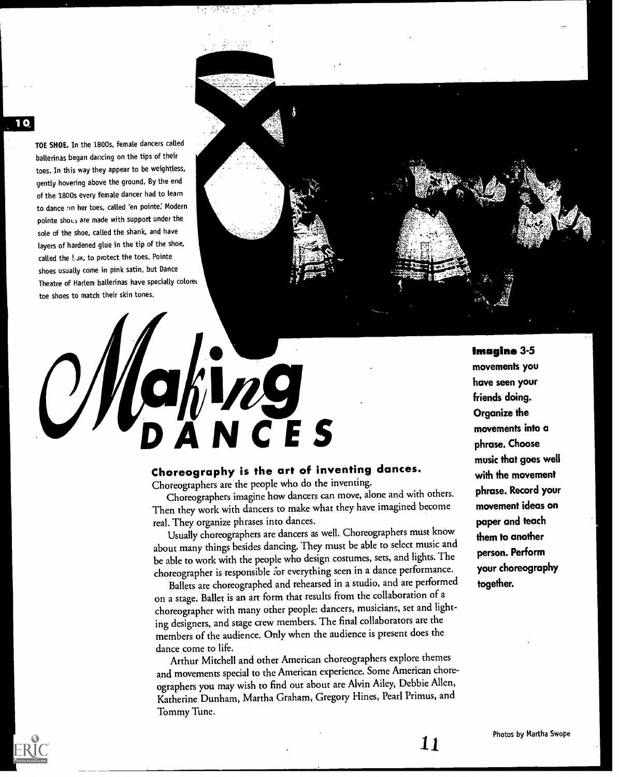TOE SHOE. In the 1800s, female dancers called ballerinas began dancing on the tips of their toes. In this way they appear to be weightless, gently hovering above the ground. By the end of the 1800s every female dancer had to learn to dance on her toes, called 'en pointe.' Modern pointe shoes are made with support under the sole of the shoe, called the shank, and have layers of hardened glue in the tip of the shoe, called the lox, to protect the toes. Pointe shoes usually come in pink satin, but Dance Theatre of Harlem ballerinas have specially colorer toe shoes to match their skin tones.

# ahing<br>DANCES  $\bigcup$

### Choreography is the art of inventing dances.

Choreographers are the people who do the inventing.

Choreographers imagine how dancers can move, alone and with others. Then they work with dancers to make what they have imagined become real. They organize phrases into dances.

Usually choreographers are dancers as well. Choreographers must know about many things besides dancing. They must be able to select music and be able to work with the people who design costumes, sets, and lights. The choreographer is responsible for everything seen in a dance performance.

Ballets are choreographed and rehearsed in a studio, and are performed on a stage. Ballet is an art form that results from the collaboration of a choreographer with many other people: dancers, musicians, set and lighting designers, and stage crew members. The final collaborators are the members of the audience. Only when the audience is present does the dance come to life.

Arthur Mitchell and other American choreographers explore themes and movements special to the American experience. Some American choreographers you may wish to find out about are Alvin Ailey, Debbie Allen, Katherine Dunham, Martha Graham, Gregory Hines, Pearl Primus, and Tommy Tune.

Imagine 3-5 movements you have seen your friends doing. Organize the movements into a phrase. Choose music that goes well with the movement phrase. Record your movement ideas on paper and teach them to another person. Perform your choreography together.

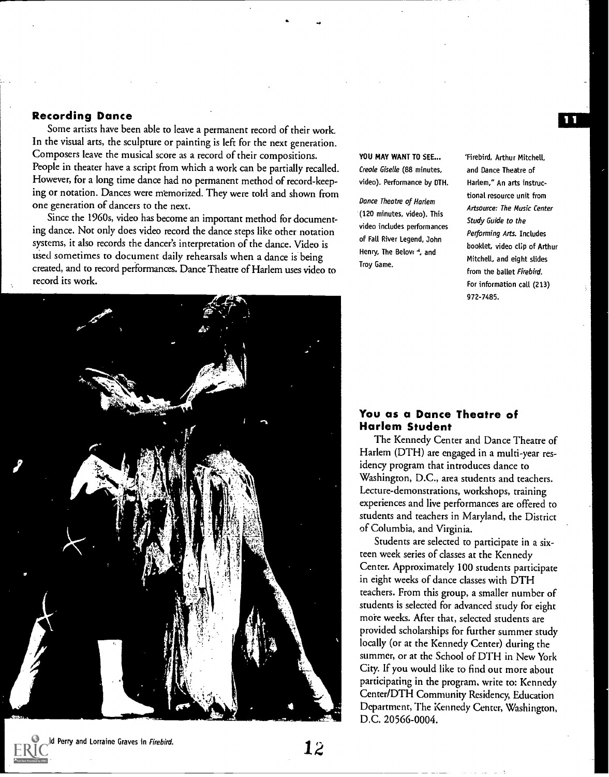### Recording Dance

Some artists have been able to leave a permanent record of their work. In the visual arts, the sculpture or painting is left for the next generation. Composers leave the musical score as a record of their compositions. People in theater have a script from which a work can be partially recalled. However, for a long time dance had no permanent method of record-keeping or notation. Dances were memorized. They were told and shown from one generation of dancers to the next.

Since the 1960s, video has become an important method for documenting dance. Not only does video record the dance steps like other notation systems, it also records the dancer's interpretation of the dance. Video is used sometimes to document daily rehearsals when a dance is being created, and to record performances. Dance Theatre of Harlem uses video to record its work.

YOU MAY WANT TO SEE... Creole Giselle (88 minutes, video). Performance by DTH.

Dance Theatre of Harlem (120 minutes, video). This video includes performances of Fall River Legend, John Henry, The Belovr<sup>4</sup>, and Troy Game.

'Firebird, Arthur Mitchell, and Dance Theatre of Harlem," An arts instructional resource unit from Artsource: The Music Center Study Guide to the Performing Arts. Includes booklet, video clip of Arthur Mitchell, and eight slides from the ballet Firebird. For information call (213) 972-7485.



### You as a Dance Theatre of Harlem Student

The Kennedy Center and Dance Theatre of Harlem (DTH) are engaged in a multi-year residency program that introduces dance to Washington, D.C., area students and teachers. Lecture-demonstrations, workshops, training experiences and live performances are offered to students and teachers in Maryland, the District of Columbia, and Virginia.

Students are selected to participate in a sixteen week series of classes at the Kennedy Center. Approximately 100 students participate in eight weeks of dance classes with DTH teachers. From this group, a smaller number of students is selected for advanced study for eight more weeks. After that, selected students are provided scholarships for further summer study locally (or at the Kennedy Center) during the summer, or at the School of DTH in New York City. If you would like to find out more about participating in the program, write to: Kennedy Center/DTH Community Residency, Education Department, The Kennedy Center, Washington, D.C. 20566-0004.

Perry and Lorraine Graves in Firebird.